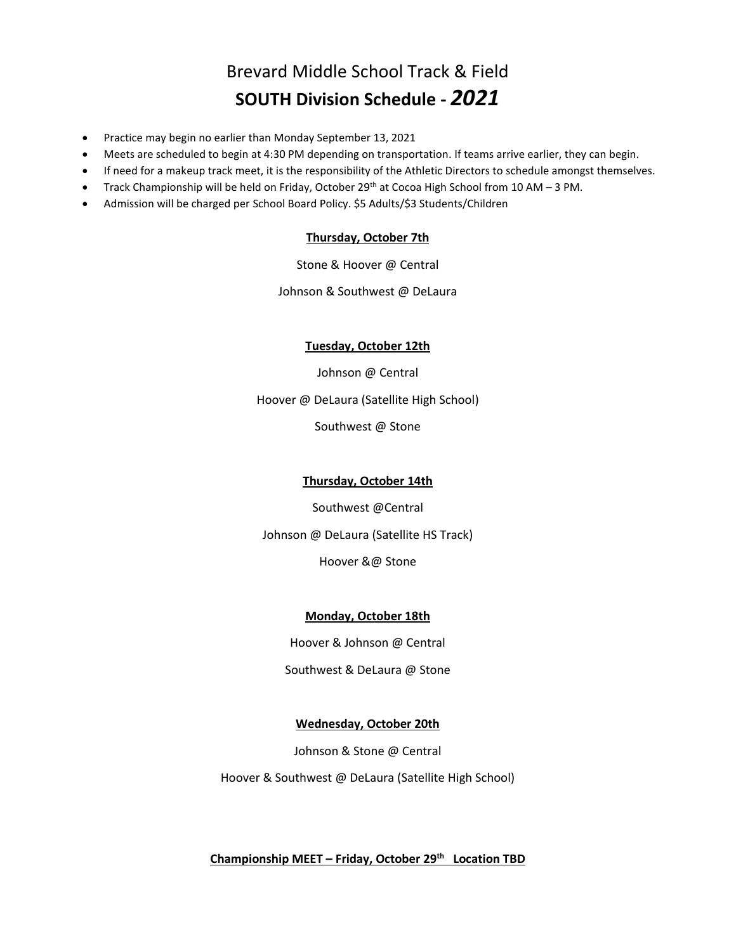# Brevard Middle School Track & Field **SOUTH Division Schedule -** *2021*

- Practice may begin no earlier than Monday September 13, 2021
- Meets are scheduled to begin at 4:30 PM depending on transportation. If teams arrive earlier, they can begin.
- If need for a makeup track meet, it is the responsibility of the Athletic Directors to schedule amongst themselves.
- Track Championship will be held on Friday, October 29<sup>th</sup> at Cocoa High School from 10 AM 3 PM.
- Admission will be charged per School Board Policy. \$5 Adults/\$3 Students/Children

### **Thursday, October 7th**

Stone & Hoover @ Central

Johnson & Southwest @ DeLaura

### **Tuesday, October 12th**

Johnson @ Central Hoover @ DeLaura (Satellite High School) Southwest @ Stone

### **Thursday, October 14th**

Southwest @Central

Johnson @ DeLaura (Satellite HS Track)

Hoover &@ Stone

### **Monday, October 18th**

Hoover & Johnson @ Central

Southwest & DeLaura @ Stone

### **Wednesday, October 20th**

Johnson & Stone @ Central

Hoover & Southwest @ DeLaura (Satellite High School)

### **Championship MEET – Friday, October 29 th Location TBD**